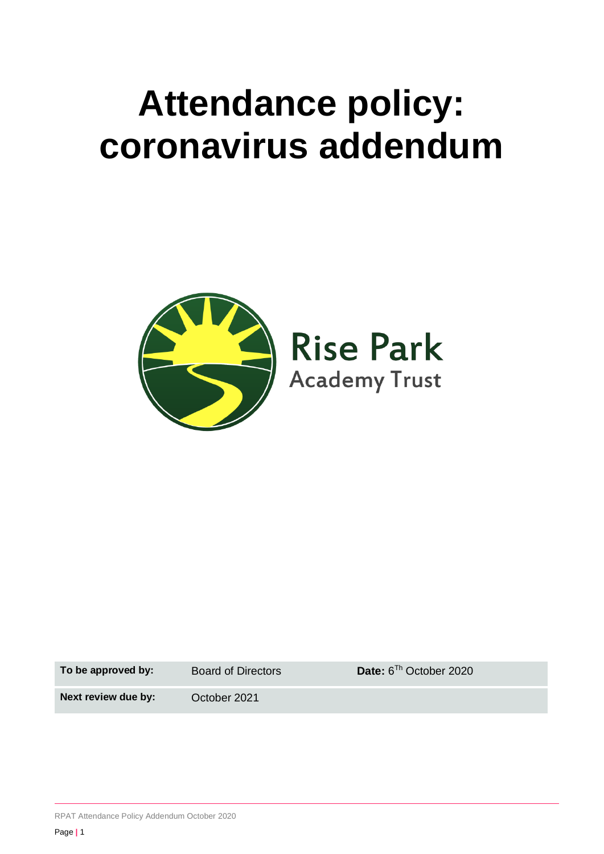# **Attendance policy: coronavirus addendum**



**To be approved by:** Board of Directors

Date:  $6^{Th}$  October 2020

**Next review due by:** October 2021

RPAT Attendance Policy Addendum October 2020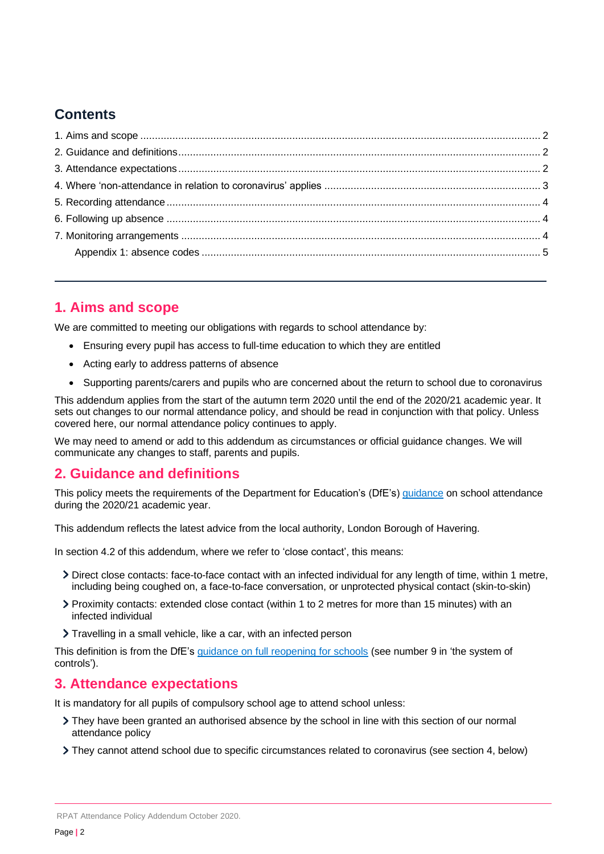# **Contents**

# <span id="page-1-0"></span>**1. Aims and scope**

We are committed to meeting our obligations with regards to school attendance by:

- Ensuring every pupil has access to full-time education to which they are entitled
- Acting early to address patterns of absence
- Supporting parents/carers and pupils who are concerned about the return to school due to coronavirus

This addendum applies from the start of the autumn term 2020 until the end of the 2020/21 academic year. It sets out changes to our normal attendance policy, and should be read in conjunction with that policy. Unless covered here, our normal attendance policy continues to apply.

We may need to amend or add to this addendum as circumstances or official guidance changes. We will communicate any changes to staff, parents and pupils.

## <span id="page-1-1"></span>**2. Guidance and definitions**

This policy meets the requirements of the Department for Education's (DfE's) [guidance](https://www.gov.uk/government/publications/school-attendance/addendum-recording-attendance-in-relation-to-coronavirus-covid-19-during-the-2020-to-2021-academic-year) on school attendance during the 2020/21 academic year.

This addendum reflects the latest advice from the local authority, London Borough of Havering.

In section 4.2 of this addendum, where we refer to 'close contact', this means:

- Direct close contacts: face-to-face contact with an infected individual for any length of time, within 1 metre, including being coughed on, a face-to-face conversation, or unprotected physical contact (skin-to-skin)
- Proximity contacts: extended close contact (within 1 to 2 metres for more than 15 minutes) with an infected individual
- Travelling in a small vehicle, like a car, with an infected person

This definition is from the DfE's [guidance on full reopening for schools](https://www.gov.uk/government/publications/actions-for-schools-during-the-coronavirus-outbreak/guidance-for-full-opening-schools) (see number 9 in 'the system of controls').

### <span id="page-1-2"></span>**3. Attendance expectations**

It is mandatory for all pupils of compulsory school age to attend school unless:

- They have been granted an authorised absence by the school in line with this section of our normal attendance policy
- They cannot attend school due to specific circumstances related to coronavirus (see section 4, below)

RPAT Attendance Policy Addendum October 2020.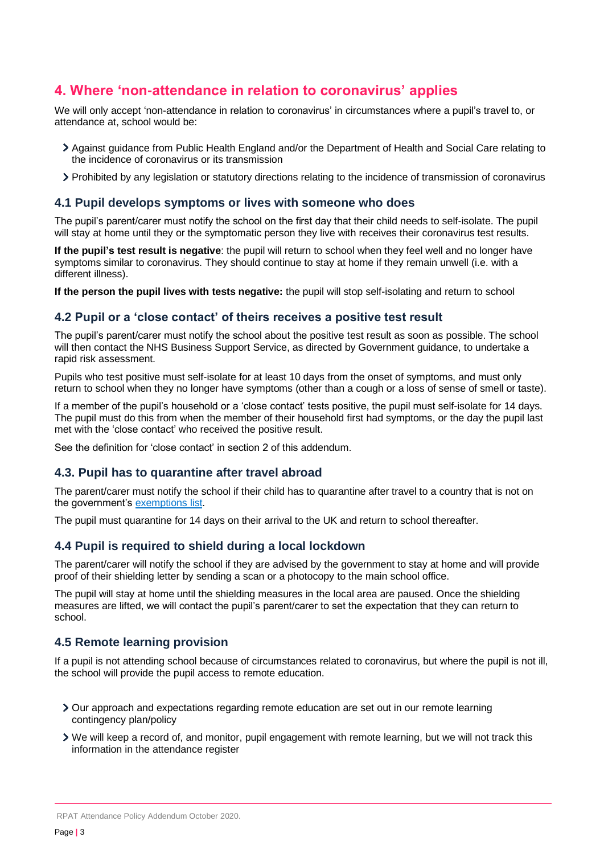## <span id="page-2-0"></span>**4. Where 'non-attendance in relation to coronavirus' applies**

We will only accept 'non-attendance in relation to coronavirus' in circumstances where a pupil's travel to, or attendance at, school would be:

- Against guidance from Public Health England and/or the Department of Health and Social Care relating to the incidence of coronavirus or its transmission
- Prohibited by any legislation or statutory directions relating to the incidence of transmission of coronavirus

#### **4.1 Pupil develops symptoms or lives with someone who does**

The pupil's parent/carer must notify the school on the first day that their child needs to self-isolate. The pupil will stay at home until they or the symptomatic person they live with receives their coronavirus test results.

**If the pupil's test result is negative**: the pupil will return to school when they feel well and no longer have symptoms similar to coronavirus. They should continue to stay at home if they remain unwell (i.e. with a different illness).

**If the person the pupil lives with tests negative:** the pupil will stop self-isolating and return to school

#### **4.2 Pupil or a 'close contact' of theirs receives a positive test result**

The pupil's parent/carer must notify the school about the positive test result as soon as possible. The school will then contact the NHS Business Support Service, as directed by Government guidance, to undertake a rapid risk assessment.

Pupils who test positive must self-isolate for at least 10 days from the onset of symptoms, and must only return to school when they no longer have symptoms (other than a cough or a loss of sense of smell or taste).

If a member of the pupil's household or a 'close contact' tests positive, the pupil must self-isolate for 14 days. The pupil must do this from when the member of their household first had symptoms, or the day the pupil last met with the 'close contact' who received the positive result.

See the definition for 'close contact' in section 2 of this addendum.

#### **4.3. Pupil has to quarantine after travel abroad**

The parent/carer must notify the school if their child has to quarantine after travel to a country that is not on the government's [exemptions](https://www.gov.uk/guidance/coronavirus-covid-19-travel-corridors#countries-and-territories-with-no-self-isolation-requirement-on-arrival-in-england) list.

The pupil must quarantine for 14 days on their arrival to the UK and return to school thereafter.

#### **4.4 Pupil is required to shield during a local lockdown**

The parent/carer will notify the school if they are advised by the government to stay at home and will provide proof of their shielding letter by sending a scan or a photocopy to the main school office.

The pupil will stay at home until the shielding measures in the local area are paused. Once the shielding measures are lifted, we will contact the pupil's parent/carer to set the expectation that they can return to school.

#### **4.5 Remote learning provision**

If a pupil is not attending school because of circumstances related to coronavirus, but where the pupil is not ill, the school will provide the pupil access to remote education.

- Our approach and expectations regarding remote education are set out in our remote learning contingency plan/policy
- We will keep a record of, and monitor, pupil engagement with remote learning, but we will not track this information in the attendance register

RPAT Attendance Policy Addendum October 2020.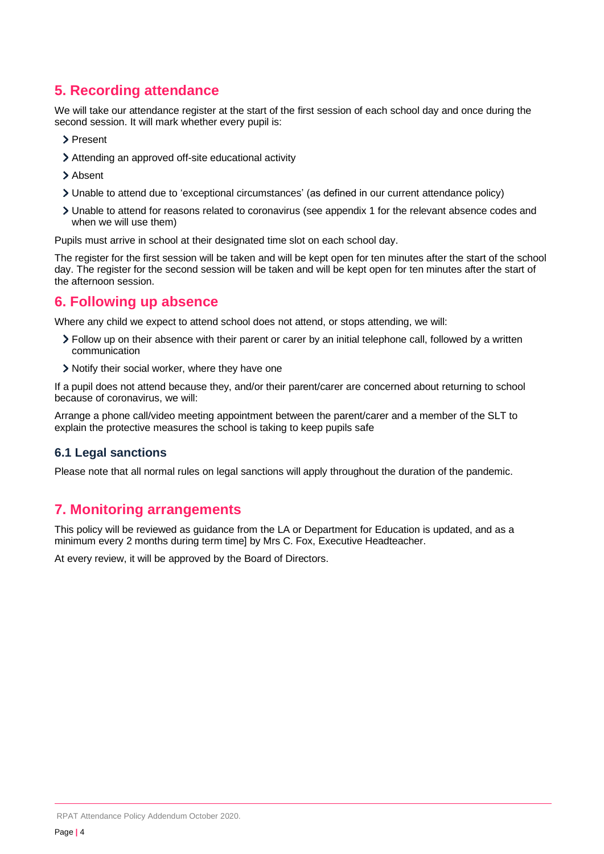# <span id="page-3-0"></span>**5. Recording attendance**

We will take our attendance register at the start of the first session of each school day and once during the second session. It will mark whether every pupil is:

- > Present
- Attending an approved off-site educational activity
- > Absent
- Unable to attend due to 'exceptional circumstances' (as defined in our current attendance policy)
- Unable to attend for reasons related to coronavirus (see appendix 1 for the relevant absence codes and when we will use them)

Pupils must arrive in school at their designated time slot on each school day.

The register for the first session will be taken and will be kept open for ten minutes after the start of the school day. The register for the second session will be taken and will be kept open for ten minutes after the start of the afternoon session.

## <span id="page-3-1"></span>**6. Following up absence**

Where any child we expect to attend school does not attend, or stops attending, we will:

- Follow up on their absence with their parent or carer by an initial telephone call, followed by a written communication
- > Notify their social worker, where they have one

If a pupil does not attend because they, and/or their parent/carer are concerned about returning to school because of coronavirus, we will:

Arrange a phone call/video meeting appointment between the parent/carer and a member of the SLT to explain the protective measures the school is taking to keep pupils safe

#### **6.1 Legal sanctions**

Please note that all normal rules on legal sanctions will apply throughout the duration of the pandemic.

## <span id="page-3-2"></span>**7. Monitoring arrangements**

This policy will be reviewed as guidance from the LA or Department for Education is updated, and as a minimum every 2 months during term time] by Mrs C. Fox, Executive Headteacher.

At every review, it will be approved by the Board of Directors.